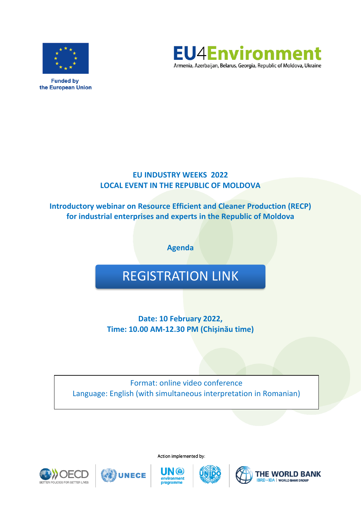

**Funded by** the European Union



# **EU INDUSTRY WEEKS 2022 LOCAL EVENT IN THE REPUBLIC OF MOLDOVA**

**Introductory webinar on Resource Efficient and Cleaner Production (RECP) for industrial enterprises and experts in the Republic of Moldova**

**Agenda**

# [REGISTRATION LINK](https://zoom.us/meeting/register/tJcud--vqTosH9e9hw3vvdsi0zkpvSLDuWvK)

**Date: 10 February 2022, Time: 10.00 AM-12.30 PM (Chișinău time)**

Format: online video conference Language: English (with simultaneous interpretation in Romanian)







Action implemented by:







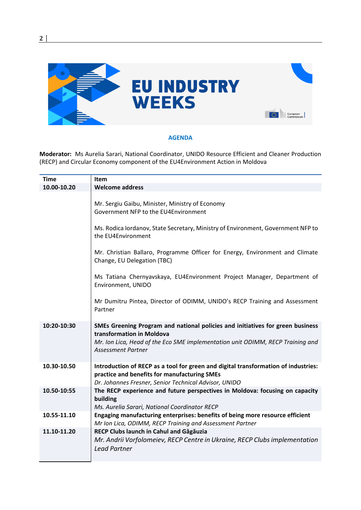

**2 │** 

## **AGENDA**

**Moderator:** Ms Aurelia Sarari, National Coordinator, UNIDO Resource Efficient and Cleaner Production (RECP) and Circular Economy component of the EU4Environment Action in Moldova

| Time        | <b>Item</b>                                                                                                                                                                                                                |
|-------------|----------------------------------------------------------------------------------------------------------------------------------------------------------------------------------------------------------------------------|
| 10.00-10.20 | <b>Welcome address</b>                                                                                                                                                                                                     |
|             | Mr. Sergiu Gaibu, Minister, Ministry of Economy<br>Government NFP to the EU4Environment                                                                                                                                    |
|             | Ms. Rodica lordanov, State Secretary, Ministry of Environment, Government NFP to<br>the EU4Environment                                                                                                                     |
|             | Mr. Christian Ballaro, Programme Officer for Energy, Environment and Climate<br>Change, EU Delegation (TBC)                                                                                                                |
|             | Ms Tatiana Chernyavskaya, EU4Environment Project Manager, Department of<br>Environment, UNIDO                                                                                                                              |
|             | Mr Dumitru Pintea, Director of ODIMM, UNIDO's RECP Training and Assessment<br>Partner                                                                                                                                      |
| 10:20-10:30 | SMEs Greening Program and national policies and initiatives for green business<br>transformation in Moldova<br>Mr. Ion Lica, Head of the Eco SME implementation unit ODIMM, RECP Training and<br><b>Assessment Partner</b> |
| 10.30-10.50 | Introduction of RECP as a tool for green and digital transformation of industries:<br>practice and benefits for manufacturing SMEs<br>Dr. Johannes Fresner, Senior Technical Advisor, UNIDO                                |
| 10.50-10:55 | The RECP experience and future perspectives in Moldova: focusing on capacity<br>building<br>Ms. Aurelia Sarari, National Coordinator RECP                                                                                  |
| 10.55-11.10 | Engaging manufacturing enterprises: benefits of being more resource efficient<br>Mr Ion Lica, ODIMM, RECP Training and Assessment Partner                                                                                  |
| 11.10-11.20 | RECP Clubs launch in Cahul and Găgăuzia<br>Mr. Andrii Vorfolomeiev, RECP Centre in Ukraine, RECP Clubs implementation<br><b>Lead Partner</b>                                                                               |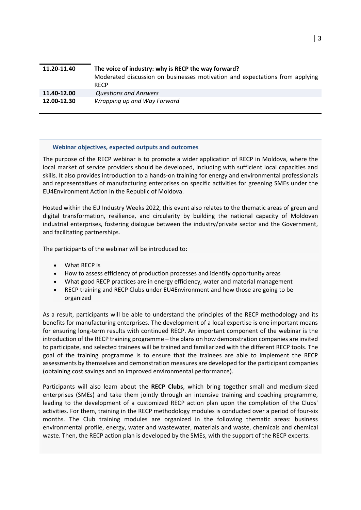| 11.20-11.40 | The voice of industry: why is RECP the way forward?<br>Moderated discussion on businesses motivation and expectations from applying<br><b>RECP</b> |
|-------------|----------------------------------------------------------------------------------------------------------------------------------------------------|
| 11.40-12.00 | <b>Questions and Answers</b>                                                                                                                       |
| 12.00-12.30 | Wrapping up and Way Forward                                                                                                                        |

#### **Webinar objectives, expected outputs and outcomes**

The purpose of the RECP webinar is to promote a wider application of RECP in Moldova, where the local market of service providers should be developed, including with sufficient local capacities and skills. It also provides introduction to a hands-on training for energy and environmental professionals and representatives of manufacturing enterprises on specific activities for greening SMEs under the EU4Environment Action in the Republic of Moldova.

Hosted within the EU Industry Weeks 2022, this event also relates to the thematic areas of green and digital transformation, resilience, and circularity by building the national capacity of Moldovan industrial enterprises, fostering dialogue between the industry/private sector and the Government, and facilitating partnerships.

The participants of the webinar will be introduced to:

- What RECP is
- How to assess efficiency of production processes and identify opportunity areas
- What good RECP practices are in energy efficiency, water and material management
- RECP training and RECP Clubs under EU4Environment and how those are going to be organized

As a result, participants will be able to understand the principles of the RECP methodology and its benefits for manufacturing enterprises. The development of a local expertise is one important means for ensuring long-term results with continued RECP. An important component of the webinar is the introduction of the RECP training programme – the plans on how demonstration companies are invited to participate, and selected trainees will be trained and familiarized with the different RECP tools. The goal of the training programme is to ensure that the trainees are able to implement the RECP assessments by themselves and demonstration measures are developed for the participant companies (obtaining cost savings and an improved environmental performance).

Participants will also learn about the **RECP Clubs**, which bring together small and medium-sized enterprises (SMEs) and take them jointly through an intensive training and coaching programme, leading to the development of a customized RECP action plan upon the completion of the Clubs' activities. For them, training in the RECP methodology modules is conducted over a period of four-six months. The Club training modules are organized in the following thematic areas: business environmental profile, energy, water and wastewater, materials and waste, chemicals and chemical waste. Then, the RECP action plan is developed by the SMEs, with the support of the RECP experts.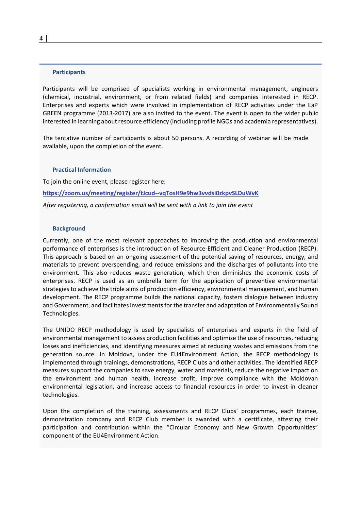#### **Participants**

Participants will be comprised of specialists working in environmental management, engineers (chemical, industrial, environment, or from related fields) and companies interested in RECP. Enterprises and experts which were involved in implementation of RECP activities under the EaP GREEN programme (2013-2017) are also invited to the event. The event is open to the wider public interested in learning about resource efficiency (including profile NGOs and academia representatives).

The tentative number of participants is about 50 persons. A recording of webinar will be made available, upon the completion of the event.

#### **Practical Information**

To join the online event, please register here:

**<https://zoom.us/meeting/register/tJcud--vqTosH9e9hw3vvdsi0zkpvSLDuWvK>**

*After registering, a confirmation email will be sent with a link to join the event*

#### **Background**

Currently, one of the most relevant approaches to improving the production and environmental performance of enterprises is the introduction of Resource-Efficient and Cleaner Production (RECP). This approach is based on an ongoing assessment of the potential saving of resources, energy, and materials to prevent overspending, and reduce emissions and the discharges of pollutants into the environment. This also reduces waste generation, which then diminishes the economic costs of enterprises. RECP is used as an umbrella term for the application of preventive environmental strategies to achieve the triple aims of production efficiency, environmental management, and human development. The RECP programme builds the national capacity, fosters dialogue between industry and Government, and facilitates investments for the transfer and adaptation of Environmentally Sound Technologies.

The UNIDO RECP methodology is used by specialists of enterprises and experts in the field of environmental management to assess production facilities and optimize the use of resources, reducing losses and inefficiencies, and identifying measures aimed at reducing wastes and emissions from the generation source. In Moldova, under the EU4Environment Action, the RECP methodology is implemented through trainings, demonstrations, RECP Clubs and other activities. The identified RECP measures support the companies to save energy, water and materials, reduce the negative impact on the environment and human health, increase profit, improve compliance with the Moldovan environmental legislation, and increase access to financial resources in order to invest in cleaner technologies.

Upon the completion of the training, assessments and RECP Clubs' programmes, each trainee, demonstration company and RECP Club member is awarded with a certificate, attesting their participation and contribution within the "Circular Economy and New Growth Opportunities" component of the EU4Environment Action.

**4 │**